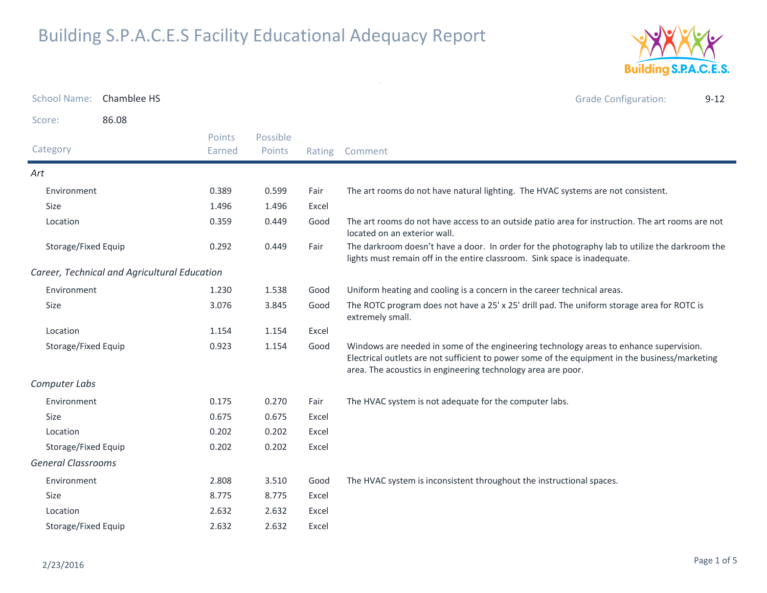

| <b>School Name:</b>       | Chamblee HS                                  |                  |                    |        | <b>Grade Configuration:</b><br>$9 - 12$                                                                                                                                                                                                                  |
|---------------------------|----------------------------------------------|------------------|--------------------|--------|----------------------------------------------------------------------------------------------------------------------------------------------------------------------------------------------------------------------------------------------------------|
| Score:                    | 86.08                                        |                  |                    |        |                                                                                                                                                                                                                                                          |
| Category                  |                                              | Points<br>Earned | Possible<br>Points | Rating | Comment                                                                                                                                                                                                                                                  |
| Art                       |                                              |                  |                    |        |                                                                                                                                                                                                                                                          |
| Environment               |                                              | 0.389            | 0.599              | Fair   | The art rooms do not have natural lighting. The HVAC systems are not consistent.                                                                                                                                                                         |
| Size                      |                                              | 1.496            | 1.496              | Excel  |                                                                                                                                                                                                                                                          |
| Location                  |                                              | 0.359            | 0.449              | Good   | The art rooms do not have access to an outside patio area for instruction. The art rooms are not<br>located on an exterior wall.                                                                                                                         |
| Storage/Fixed Equip       |                                              | 0.292            | 0.449              | Fair   | The darkroom doesn't have a door. In order for the photography lab to utilize the darkroom the<br>lights must remain off in the entire classroom. Sink space is inadequate.                                                                              |
|                           | Career, Technical and Agricultural Education |                  |                    |        |                                                                                                                                                                                                                                                          |
| Environment               |                                              | 1.230            | 1.538              | Good   | Uniform heating and cooling is a concern in the career technical areas.                                                                                                                                                                                  |
| Size                      |                                              | 3.076            | 3.845              | Good   | The ROTC program does not have a 25' x 25' drill pad. The uniform storage area for ROTC is<br>extremely small.                                                                                                                                           |
| Location                  |                                              | 1.154            | 1.154              | Excel  |                                                                                                                                                                                                                                                          |
| Storage/Fixed Equip       |                                              | 0.923            | 1.154              | Good   | Windows are needed in some of the engineering technology areas to enhance supervision.<br>Electrical outlets are not sufficient to power some of the equipment in the business/marketing<br>area. The acoustics in engineering technology area are poor. |
| Computer Labs             |                                              |                  |                    |        |                                                                                                                                                                                                                                                          |
| Environment               |                                              | 0.175            | 0.270              | Fair   | The HVAC system is not adequate for the computer labs.                                                                                                                                                                                                   |
| Size                      |                                              | 0.675            | 0.675              | Excel  |                                                                                                                                                                                                                                                          |
| Location                  |                                              | 0.202            | 0.202              | Excel  |                                                                                                                                                                                                                                                          |
| Storage/Fixed Equip       |                                              | 0.202            | 0.202              | Excel  |                                                                                                                                                                                                                                                          |
| <b>General Classrooms</b> |                                              |                  |                    |        |                                                                                                                                                                                                                                                          |
| Environment               |                                              | 2.808            | 3.510              | Good   | The HVAC system is inconsistent throughout the instructional spaces.                                                                                                                                                                                     |
| Size                      |                                              | 8.775            | 8.775              | Excel  |                                                                                                                                                                                                                                                          |
| Location                  |                                              | 2.632            | 2.632              | Excel  |                                                                                                                                                                                                                                                          |
| Storage/Fixed Equip       |                                              | 2.632            | 2.632              | Excel  |                                                                                                                                                                                                                                                          |

 $\sim$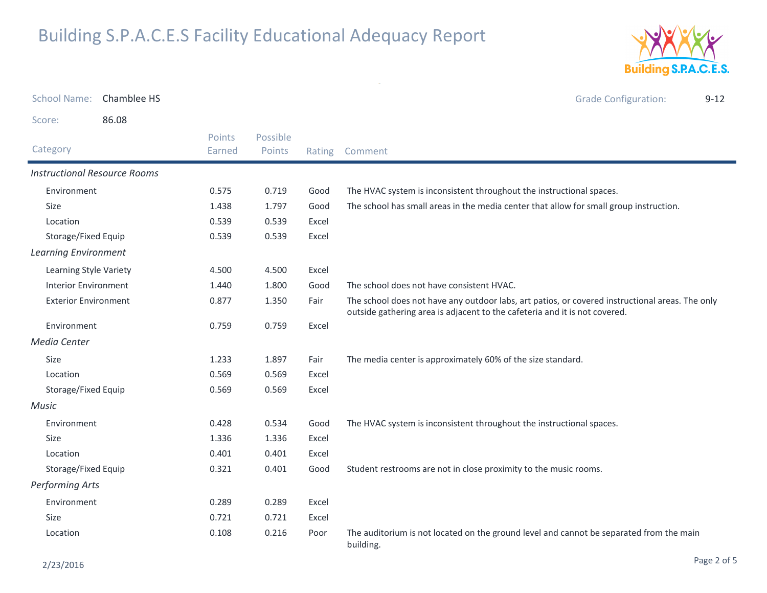

| <b>School Name:</b>                 | Chamblee HS         |                  |                    |        | <b>Grade Configuration:</b><br>$9 - 12$                                                                                                                                       |
|-------------------------------------|---------------------|------------------|--------------------|--------|-------------------------------------------------------------------------------------------------------------------------------------------------------------------------------|
| Score:                              | 86.08               |                  |                    |        |                                                                                                                                                                               |
| Category                            |                     | Points<br>Earned | Possible<br>Points | Rating | Comment                                                                                                                                                                       |
| <b>Instructional Resource Rooms</b> |                     |                  |                    |        |                                                                                                                                                                               |
| Environment                         |                     | 0.575            | 0.719              | Good   | The HVAC system is inconsistent throughout the instructional spaces.                                                                                                          |
| <b>Size</b>                         |                     | 1.438            | 1.797              | Good   | The school has small areas in the media center that allow for small group instruction.                                                                                        |
| Location                            |                     | 0.539            | 0.539              | Excel  |                                                                                                                                                                               |
| Storage/Fixed Equip                 |                     | 0.539            | 0.539              | Excel  |                                                                                                                                                                               |
| <b>Learning Environment</b>         |                     |                  |                    |        |                                                                                                                                                                               |
| Learning Style Variety              |                     | 4.500            | 4.500              | Excel  |                                                                                                                                                                               |
| <b>Interior Environment</b>         |                     | 1.440            | 1.800              | Good   | The school does not have consistent HVAC.                                                                                                                                     |
| <b>Exterior Environment</b>         |                     | 0.877            | 1.350              | Fair   | The school does not have any outdoor labs, art patios, or covered instructional areas. The only<br>outside gathering area is adjacent to the cafeteria and it is not covered. |
| Environment                         |                     | 0.759            | 0.759              | Excel  |                                                                                                                                                                               |
| Media Center                        |                     |                  |                    |        |                                                                                                                                                                               |
| <b>Size</b>                         |                     | 1.233            | 1.897              | Fair   | The media center is approximately 60% of the size standard.                                                                                                                   |
| Location                            |                     |                  | 0.569              | Excel  |                                                                                                                                                                               |
|                                     | Storage/Fixed Equip |                  | 0.569              | Excel  |                                                                                                                                                                               |
| Music                               |                     |                  |                    |        |                                                                                                                                                                               |
| Environment                         |                     | 0.428            | 0.534              | Good   | The HVAC system is inconsistent throughout the instructional spaces.                                                                                                          |
| Size                                |                     | 1.336            | 1.336              | Excel  |                                                                                                                                                                               |
| Location                            |                     | 0.401            | 0.401              | Excel  |                                                                                                                                                                               |
| Storage/Fixed Equip                 |                     | 0.321            | 0.401              | Good   | Student restrooms are not in close proximity to the music rooms.                                                                                                              |
| <b>Performing Arts</b>              |                     |                  |                    |        |                                                                                                                                                                               |
| Environment                         |                     | 0.289            | 0.289              | Excel  |                                                                                                                                                                               |
| Size                                |                     | 0.721            | 0.721              | Excel  |                                                                                                                                                                               |
| Location                            |                     | 0.108            | 0.216              | Poor   | The auditorium is not located on the ground level and cannot be separated from the main<br>building.                                                                          |

 $\sim$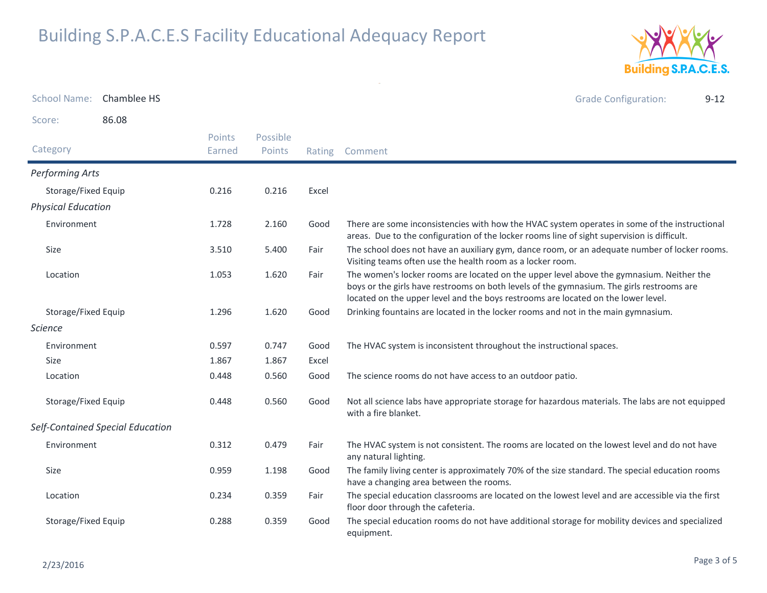

School Name: Ch<mark>amblee HS</mark> Grade Configuration: 9-12 Score: 86.08**Category**  Rating Comment Possible PointsPoints EarnedPerforming ArtsStorage/Fixed Equip 0.216 0.216 Excel Physical EducationEnvironment There are some inconsistencies with how the HVAC system operates in some of the instructional areas. Due to the configuration of the locker rooms line of sight supervision is difficult.1.7282.160 SizeFair The school does not have an auxiliary gym, dance room, or an adequate number of locker rooms. Visiting teams often use the health room as a locker room.3.5105.400 Location The women's locker rooms are located on the upper level above the gymnasium. Neither the boys or the girls have restrooms on both levels of the gymnasium. The girls restrooms are located on the upper level and the boys restrooms are located on the lower level.1.0531.620 Storage/Fixed Equip 1.296 1.620 Good Drinking fountains are located in the locker rooms and not in the main gymnasium. ScienceEnvironment 0.597 0.747 Good The HVAC system is inconsistent throughout the instructional spaces. Sizee 1.867 1.867 Excel Location 0.448 0.560 Good The science rooms do not have access to an outdoor patio. Storage/Fixed Equip Not all science labs have appropriate storage for hazardous materials. The labs are not equipped 0.448 $0.560$ 

#### Self-Contained Special Education

| , containca special Education |       |       |      |                                                                                                                                            |  |
|-------------------------------|-------|-------|------|--------------------------------------------------------------------------------------------------------------------------------------------|--|
| Environment                   | 0.312 | 0.479 | Fair | The HVAC system is not consistent. The rooms are located on the lowest level and do not have<br>any natural lighting.                      |  |
| <b>Size</b>                   | 0.959 | 1.198 | Good | The family living center is approximately 70% of the size standard. The special education rooms<br>have a changing area between the rooms. |  |
| Location                      | 0.234 | 0.359 | Fair | The special education classrooms are located on the lowest level and are accessible via the first<br>floor door through the cafeteria.     |  |
| Storage/Fixed Equip           | 0.288 | 0.359 | Good | The special education rooms do not have additional storage for mobility devices and specialized                                            |  |

equipment.

with a fire blanket.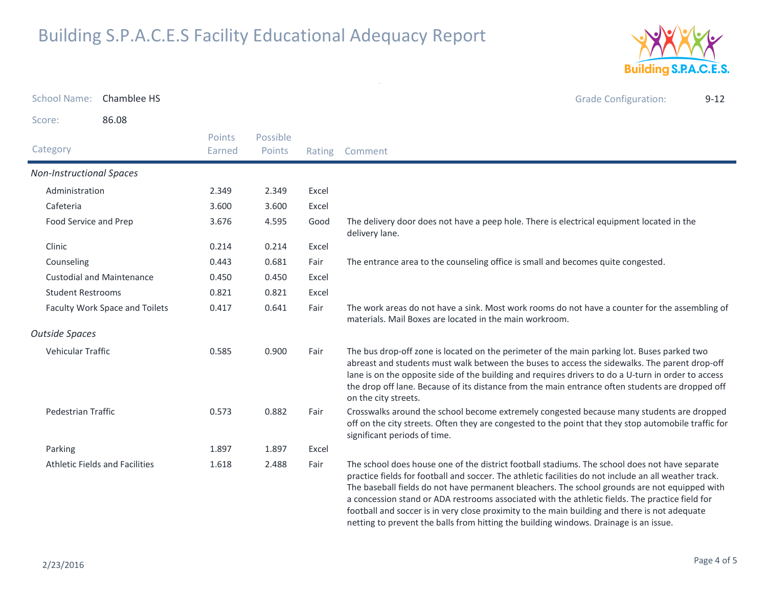

| <b>School Name:</b>                   | Chamblee HS                      |                         |                    |        | <b>Grade Configuration:</b><br>$9 - 12$                                                                                                                                                                                                                                                                                                                                                                                                                                                                                                                                                               |
|---------------------------------------|----------------------------------|-------------------------|--------------------|--------|-------------------------------------------------------------------------------------------------------------------------------------------------------------------------------------------------------------------------------------------------------------------------------------------------------------------------------------------------------------------------------------------------------------------------------------------------------------------------------------------------------------------------------------------------------------------------------------------------------|
| Score:                                | 86.08                            |                         |                    |        |                                                                                                                                                                                                                                                                                                                                                                                                                                                                                                                                                                                                       |
| Category                              |                                  | <b>Points</b><br>Earned | Possible<br>Points | Rating | Comment                                                                                                                                                                                                                                                                                                                                                                                                                                                                                                                                                                                               |
| <b>Non-Instructional Spaces</b>       |                                  |                         |                    |        |                                                                                                                                                                                                                                                                                                                                                                                                                                                                                                                                                                                                       |
| Administration                        |                                  | 2.349                   | 2.349              | Excel  |                                                                                                                                                                                                                                                                                                                                                                                                                                                                                                                                                                                                       |
| Cafeteria                             |                                  | 3.600                   | 3.600              | Excel  |                                                                                                                                                                                                                                                                                                                                                                                                                                                                                                                                                                                                       |
| Food Service and Prep                 |                                  | 3.676                   | 4.595              | Good   | The delivery door does not have a peep hole. There is electrical equipment located in the<br>delivery lane.                                                                                                                                                                                                                                                                                                                                                                                                                                                                                           |
| Clinic                                |                                  | 0.214                   | 0.214              | Excel  |                                                                                                                                                                                                                                                                                                                                                                                                                                                                                                                                                                                                       |
| Counseling                            |                                  | 0.443                   | 0.681              | Fair   | The entrance area to the counseling office is small and becomes quite congested.                                                                                                                                                                                                                                                                                                                                                                                                                                                                                                                      |
|                                       | <b>Custodial and Maintenance</b> | 0.450                   | 0.450              | Excel  |                                                                                                                                                                                                                                                                                                                                                                                                                                                                                                                                                                                                       |
| <b>Student Restrooms</b>              |                                  | 0.821                   | 0.821              | Excel  |                                                                                                                                                                                                                                                                                                                                                                                                                                                                                                                                                                                                       |
| Faculty Work Space and Toilets        |                                  | 0.417                   | 0.641              | Fair   | The work areas do not have a sink. Most work rooms do not have a counter for the assembling of<br>materials. Mail Boxes are located in the main workroom.                                                                                                                                                                                                                                                                                                                                                                                                                                             |
| <b>Outside Spaces</b>                 |                                  |                         |                    |        |                                                                                                                                                                                                                                                                                                                                                                                                                                                                                                                                                                                                       |
| Vehicular Traffic                     |                                  | 0.585                   | 0.900              | Fair   | The bus drop-off zone is located on the perimeter of the main parking lot. Buses parked two<br>abreast and students must walk between the buses to access the sidewalks. The parent drop-off<br>lane is on the opposite side of the building and requires drivers to do a U-turn in order to access<br>the drop off lane. Because of its distance from the main entrance often students are dropped off<br>on the city streets.                                                                                                                                                                       |
| Pedestrian Traffic                    |                                  | 0.573                   | 0.882              | Fair   | Crosswalks around the school become extremely congested because many students are dropped<br>off on the city streets. Often they are congested to the point that they stop automobile traffic for<br>significant periods of time.                                                                                                                                                                                                                                                                                                                                                                     |
| Parking                               |                                  | 1.897                   | 1.897              | Excel  |                                                                                                                                                                                                                                                                                                                                                                                                                                                                                                                                                                                                       |
| <b>Athletic Fields and Facilities</b> |                                  | 1.618                   | 2.488              | Fair   | The school does house one of the district football stadiums. The school does not have separate<br>practice fields for football and soccer. The athletic facilities do not include an all weather track.<br>The baseball fields do not have permanent bleachers. The school grounds are not equipped with<br>a concession stand or ADA restrooms associated with the athletic fields. The practice field for<br>football and soccer is in very close proximity to the main building and there is not adequate<br>netting to prevent the balls from hitting the building windows. Drainage is an issue. |